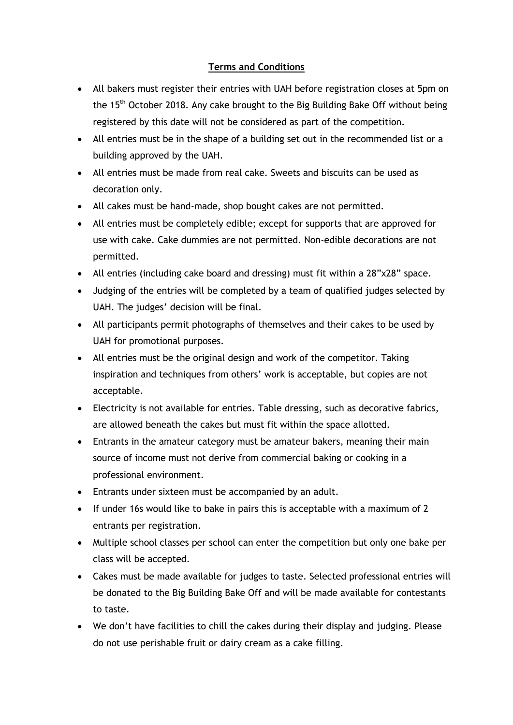## **Terms and Conditions**

- All bakers must register their entries with UAH before registration closes at 5pm on the 15<sup>th</sup> October 2018. Any cake brought to the Big Building Bake Off without being registered by this date will not be considered as part of the competition.
- All entries must be in the shape of a building set out in the recommended list or a building approved by the UAH.
- All entries must be made from real cake. Sweets and biscuits can be used as decoration only.
- All cakes must be hand-made, shop bought cakes are not permitted.
- All entries must be completely edible; except for supports that are approved for use with cake. Cake dummies are not permitted. Non-edible decorations are not permitted.
- All entries (including cake board and dressing) must fit within a 28"x28" space.
- Judging of the entries will be completed by a team of qualified judges selected by UAH. The judges' decision will be final.
- All participants permit photographs of themselves and their cakes to be used by UAH for promotional purposes.
- All entries must be the original design and work of the competitor. Taking inspiration and techniques from others' work is acceptable, but copies are not acceptable.
- Electricity is not available for entries. Table dressing, such as decorative fabrics, are allowed beneath the cakes but must fit within the space allotted.
- Entrants in the amateur category must be amateur bakers, meaning their main source of income must not derive from commercial baking or cooking in a professional environment.
- Entrants under sixteen must be accompanied by an adult.
- If under 16s would like to bake in pairs this is acceptable with a maximum of 2 entrants per registration.
- Multiple school classes per school can enter the competition but only one bake per class will be accepted.
- Cakes must be made available for judges to taste. Selected professional entries will be donated to the Big Building Bake Off and will be made available for contestants to taste.
- We don't have facilities to chill the cakes during their display and judging. Please do not use perishable fruit or dairy cream as a cake filling.